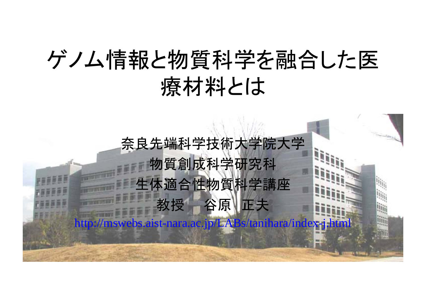# ゲノム情報と物質科学を融合した医 療材料とは

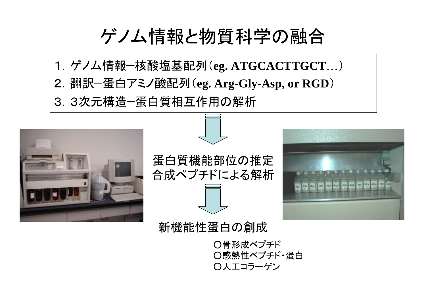ゲノム情報と物質科学の融合

1.ゲノム情報-核酸塩基配列(**eg. ATGCACTTGCT** … ) 2.翻訳-蛋白アミノ酸配列(**eg. Arg-Gly-Asp, or RGD** ) 3.3次元構造-蛋白質相互作用の解析



蛋白質機能部位の推定 合成ペプチドによる解析



新機能性蛋白の創成

○骨形成ペプチド ○感熱性ペプチド・蛋白 ○人工コラーゲン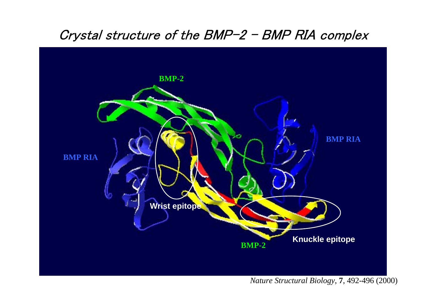#### Crystal structure of the BMP-2 - BMP RIA complex



#### *Nature Structural Biology*, **7**, 492-496 (2000)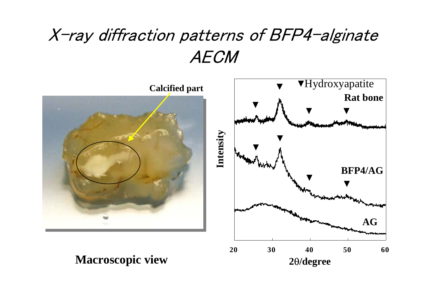## X-ray diffraction patterns of BFP4-alginate AECM

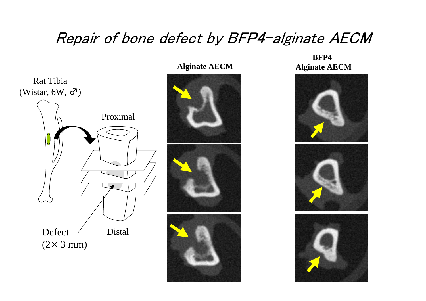#### Repair of bone defect by BFP4-alginate AECM





**BFP4-Alginate AECM Alginate AECM**

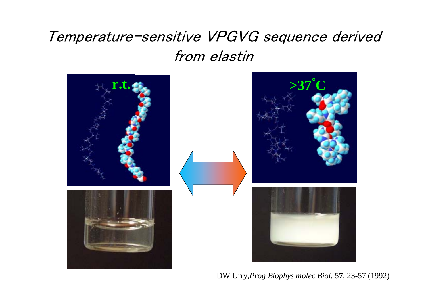#### Temperature-sensitive VPGVG sequence derived from elastin



DW Urry*,Prog Biophys molec Biol*, 5 **7**, 23-57 (1992)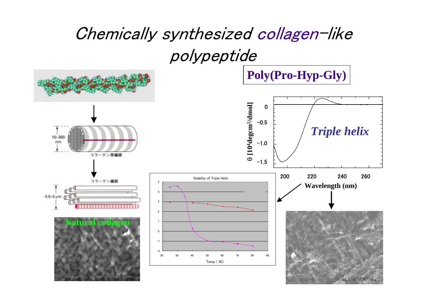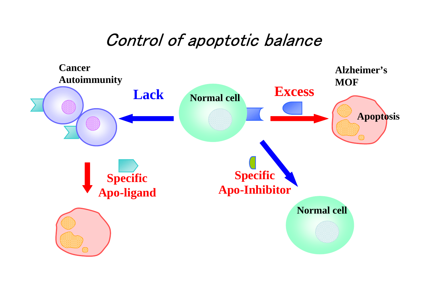### Control of apoptotic balance

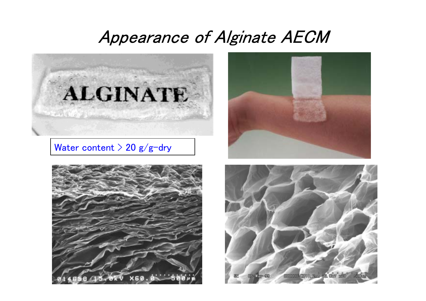#### Appearance of Alginate AECM



#### Water content  $>$  20 g/g-dry





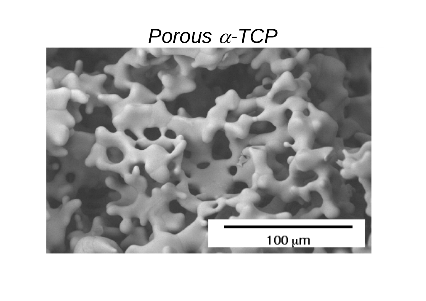## *Porous*  α*-TCP*

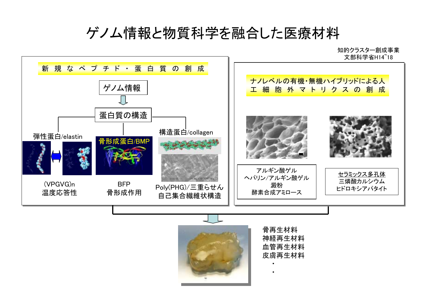#### ゲノム情報と物質科学を融合した医療材料



・

・